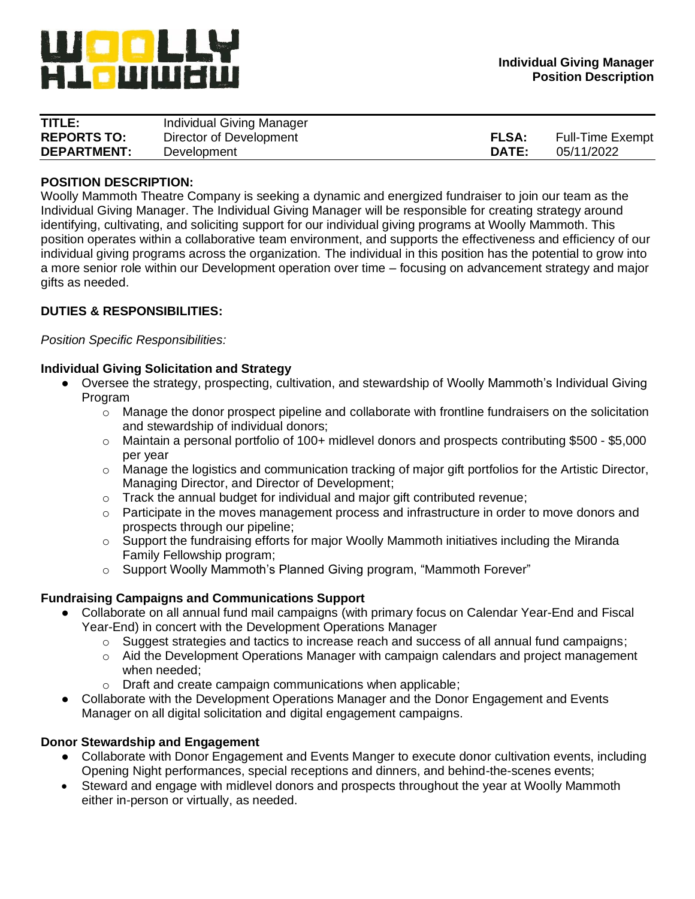

| TITLE:             | Individual Giving Manager |              |                         |
|--------------------|---------------------------|--------------|-------------------------|
| <b>REPORTS TO:</b> | Director of Development   | <b>FLSA:</b> | <b>Full-Time Exempt</b> |
| <b>DEPARTMENT:</b> | Development               | DATE:        | 05/11/2022              |

## **POSITION DESCRIPTION:**

Woolly Mammoth Theatre Company is seeking a dynamic and energized fundraiser to join our team as the Individual Giving Manager. The Individual Giving Manager will be responsible for creating strategy around identifying, cultivating, and soliciting support for our individual giving programs at Woolly Mammoth. This position operates within a collaborative team environment, and supports the effectiveness and efficiency of our individual giving programs across the organization. The individual in this position has the potential to grow into a more senior role within our Development operation over time – focusing on advancement strategy and major gifts as needed.

## **DUTIES & RESPONSIBILITIES:**

*Position Specific Responsibilities:*

### **Individual Giving Solicitation and Strategy**

- Oversee the strategy, prospecting, cultivation, and stewardship of Woolly Mammoth's Individual Giving Program
	- o Manage the donor prospect pipeline and collaborate with frontline fundraisers on the solicitation and stewardship of individual donors;
	- o Maintain a personal portfolio of 100+ midlevel donors and prospects contributing \$500 \$5,000 per year
	- $\circ$  Manage the logistics and communication tracking of major gift portfolios for the Artistic Director, Managing Director, and Director of Development;
	- o Track the annual budget for individual and major gift contributed revenue;
	- o Participate in the moves management process and infrastructure in order to move donors and prospects through our pipeline;
	- $\circ$  Support the fundraising efforts for major Woolly Mammoth initiatives including the Miranda Family Fellowship program;
	- o Support Woolly Mammoth's Planned Giving program, "Mammoth Forever"

### **Fundraising Campaigns and Communications Support**

- Collaborate on all annual fund mail campaigns (with primary focus on Calendar Year-End and Fiscal Year-End) in concert with the Development Operations Manager
	- $\circ$  Suggest strategies and tactics to increase reach and success of all annual fund campaigns;
	- $\circ$  Aid the Development Operations Manager with campaign calendars and project management when needed;
	- o Draft and create campaign communications when applicable;
- Collaborate with the Development Operations Manager and the Donor Engagement and Events Manager on all digital solicitation and digital engagement campaigns.

### **Donor Stewardship and Engagement**

- Collaborate with Donor Engagement and Events Manger to execute donor cultivation events, including Opening Night performances, special receptions and dinners, and behind-the-scenes events;
- Steward and engage with midlevel donors and prospects throughout the year at Woolly Mammoth either in-person or virtually, as needed.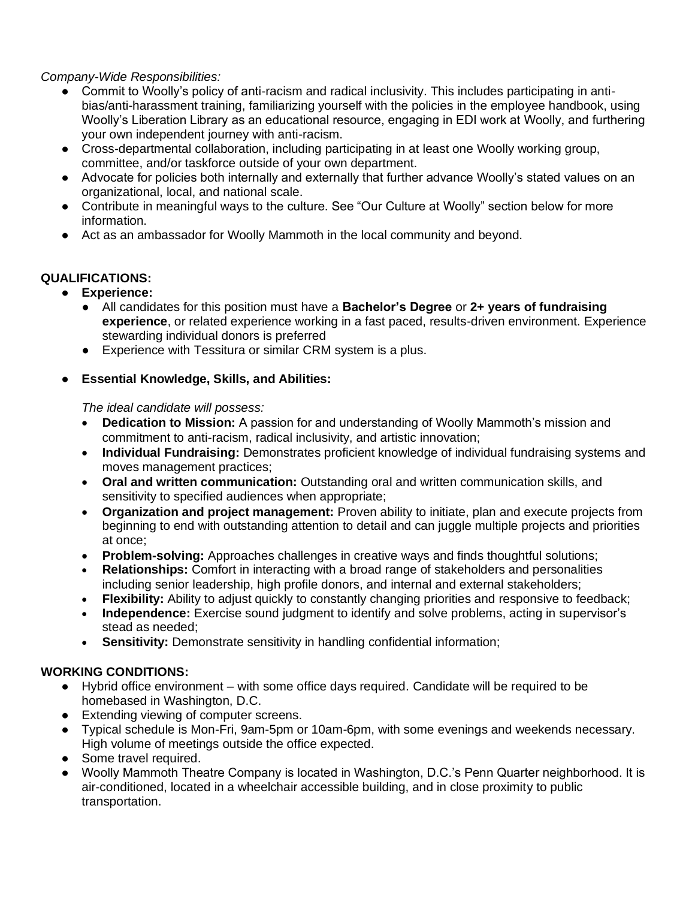# *Company-Wide Responsibilities:*

- Commit to Woolly's policy of anti-racism and radical inclusivity. This includes participating in antibias/anti-harassment training, familiarizing yourself with the policies in the employee handbook, using Woolly's Liberation Library as an educational resource, engaging in EDI work at Woolly, and furthering your own independent journey with anti-racism.
- Cross-departmental collaboration, including participating in at least one Woolly working group, committee, and/or taskforce outside of your own department.
- Advocate for policies both internally and externally that further advance Woolly's stated values on an organizational, local, and national scale.
- Contribute in meaningful ways to the culture. See "Our Culture at Woolly" section below for more information.
- Act as an ambassador for Woolly Mammoth in the local community and beyond.

# **QUALIFICATIONS:**

- **Experience:**
	- All candidates for this position must have a **Bachelor's Degree** or **2+ years of fundraising experience**, or related experience working in a fast paced, results-driven environment. Experience stewarding individual donors is preferred
	- Experience with Tessitura or similar CRM system is a plus.

# **Essential Knowledge, Skills, and Abilities:**

# *The ideal candidate will possess:*

- **Dedication to Mission:** A passion for and understanding of Woolly Mammoth's mission and commitment to anti-racism, radical inclusivity, and artistic innovation;
- **Individual Fundraising:** Demonstrates proficient knowledge of individual fundraising systems and moves management practices;
- **Oral and written communication:** Outstanding oral and written communication skills, and sensitivity to specified audiences when appropriate;
- **Organization and project management:** Proven ability to initiate, plan and execute projects from beginning to end with outstanding attention to detail and can juggle multiple projects and priorities at once;
- **Problem-solving:** Approaches challenges in creative ways and finds thoughtful solutions;
- **Relationships:** Comfort in interacting with a broad range of stakeholders and personalities including senior leadership, high profile donors, and internal and external stakeholders;
- **Flexibility:** Ability to adjust quickly to constantly changing priorities and responsive to feedback;
- **Independence:** Exercise sound judgment to identify and solve problems, acting in supervisor's stead as needed;
- **Sensitivity:** Demonstrate sensitivity in handling confidential information;

# **WORKING CONDITIONS:**

- Hybrid office environment with some office days required. Candidate will be required to be homebased in Washington, D.C.
- Extending viewing of computer screens.
- Typical schedule is Mon-Fri, 9am-5pm or 10am-6pm, with some evenings and weekends necessary. High volume of meetings outside the office expected.
- Some travel required.
- Woolly Mammoth Theatre Company is located in Washington, D.C.'s Penn Quarter neighborhood. It is air-conditioned, located in a wheelchair accessible building, and in close proximity to public transportation.